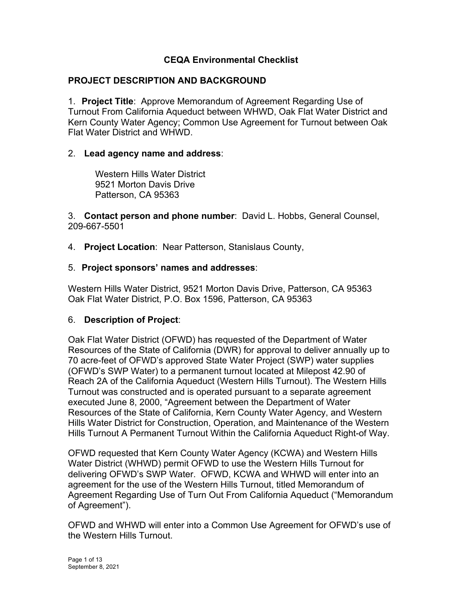## **CEQA Environmental Checklist**

## **PROJECT DESCRIPTION AND BACKGROUND**

1. **Project Title**: Approve Memorandum of Agreement Regarding Use of Turnout From California Aqueduct between WHWD, Oak Flat Water District and Kern County Water Agency; Common Use Agreement for Turnout between Oak Flat Water District and WHWD.

### 2. **Lead agency name and address**:

Western Hills Water District 9521 Morton Davis Drive Patterson, CA 95363

3. **Contact person and phone number**: David L. Hobbs, General Counsel, 209-667-5501

4. **Project Location**: Near Patterson, Stanislaus County,

## 5. **Project sponsors' names and addresses**:

Western Hills Water District, 9521 Morton Davis Drive, Patterson, CA 95363 Oak Flat Water District, P.O. Box 1596, Patterson, CA 95363

### 6. **Description of Project**:

Oak Flat Water District (OFWD) has requested of the Department of Water Resources of the State of California (DWR) for approval to deliver annually up to 70 acre-feet of OFWD's approved State Water Project (SWP) water supplies (OFWD's SWP Water) to a permanent turnout located at Milepost 42.90 of Reach 2A of the California Aqueduct (Western Hills Turnout). The Western Hills Turnout was constructed and is operated pursuant to a separate agreement executed June 8, 2000, "Agreement between the Department of Water Resources of the State of California, Kern County Water Agency, and Western Hills Water District for Construction, Operation, and Maintenance of the Western Hills Turnout A Permanent Turnout Within the California Aqueduct Right-of Way.

OFWD requested that Kern County Water Agency (KCWA) and Western Hills Water District (WHWD) permit OFWD to use the Western Hills Turnout for delivering OFWD's SWP Water. OFWD, KCWA and WHWD will enter into an agreement for the use of the Western Hills Turnout, titled Memorandum of Agreement Regarding Use of Turn Out From California Aqueduct ("Memorandum of Agreement").

OFWD and WHWD will enter into a Common Use Agreement for OFWD's use of the Western Hills Turnout.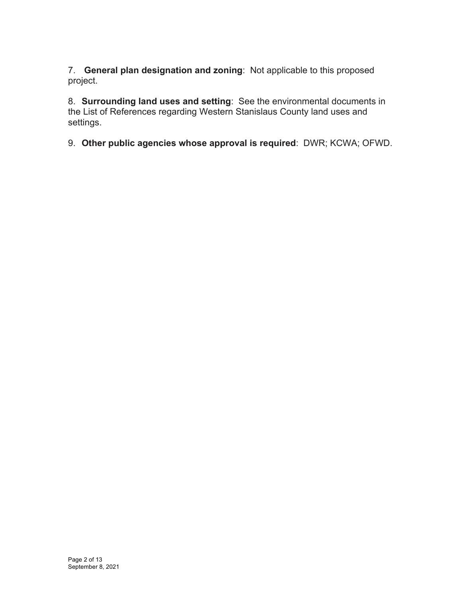7. **General plan designation and zoning**: Not applicable to this proposed project.

8. **Surrounding land uses and setting**: See the environmental documents in the List of References regarding Western Stanislaus County land uses and settings.

9. **Other public agencies whose approval is required**: DWR; KCWA; OFWD.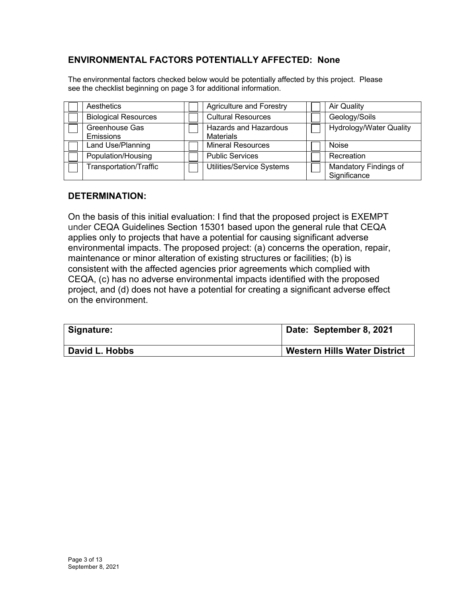# **ENVIRONMENTAL FACTORS POTENTIALLY AFFECTED: None**

The environmental factors checked below would be potentially affected by this project. Please see the checklist beginning on page 3 for additional information.

| Aesthetics                    | <b>Agriculture and Forestry</b>           | Air Quality                           |
|-------------------------------|-------------------------------------------|---------------------------------------|
| <b>Biological Resources</b>   | <b>Cultural Resources</b>                 | Geology/Soils                         |
| Greenhouse Gas<br>Emissions   | Hazards and Hazardous<br><b>Materials</b> | <b>Hydrology/Water Quality</b>        |
| Land Use/Planning             | <b>Mineral Resources</b>                  | <b>Noise</b>                          |
| Population/Housing            | <b>Public Services</b>                    | Recreation                            |
| <b>Transportation/Traffic</b> | Utilities/Service Systems                 | Mandatory Findings of<br>Significance |

#### **DETERMINATION:**

On the basis of this initial evaluation: I find that the proposed project is EXEMPT under CEQA Guidelines Section 15301 based upon the general rule that CEQA applies only to projects that have a potential for causing significant adverse environmental impacts. The proposed project: (a) concerns the operation, repair, maintenance or minor alteration of existing structures or facilities; (b) is consistent with the affected agencies prior agreements which complied with CEQA, (c) has no adverse environmental impacts identified with the proposed project, and (d) does not have a potential for creating a significant adverse effect on the environment.

| Signature:     | Date: September 8, 2021             |
|----------------|-------------------------------------|
| David L. Hobbs | <b>Western Hills Water District</b> |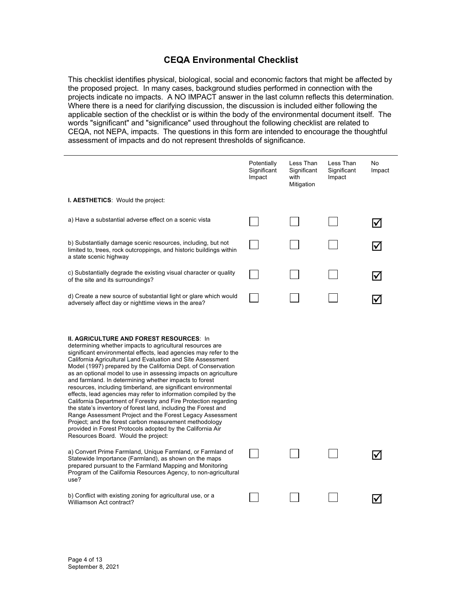### **CEQA Environmental Checklist**

This checklist identifies physical, biological, social and economic factors that might be affected by the proposed project. In many cases, background studies performed in connection with the projects indicate no impacts. A NO IMPACT answer in the last column reflects this determination. Where there is a need for clarifying discussion, the discussion is included either following the applicable section of the checklist or is within the body of the environmental document itself. The words "significant" and "significance" used throughout the following checklist are related to CEQA, not NEPA, impacts. The questions in this form are intended to encourage the thoughtful assessment of impacts and do not represent thresholds of significance.

|                                                                                                                                                                                                                                                                                                                                                                                                                                                                                                                                                                                                                                                                                                                                                                                                                                                                                                                                                      | Potentially<br>Significant<br>Impact | Less Than<br>Significant<br>with<br>Mitigation | Less Than<br>Significant<br>Impact | No<br>Impact |
|------------------------------------------------------------------------------------------------------------------------------------------------------------------------------------------------------------------------------------------------------------------------------------------------------------------------------------------------------------------------------------------------------------------------------------------------------------------------------------------------------------------------------------------------------------------------------------------------------------------------------------------------------------------------------------------------------------------------------------------------------------------------------------------------------------------------------------------------------------------------------------------------------------------------------------------------------|--------------------------------------|------------------------------------------------|------------------------------------|--------------|
| <b>I. AESTHETICS:</b> Would the project:                                                                                                                                                                                                                                                                                                                                                                                                                                                                                                                                                                                                                                                                                                                                                                                                                                                                                                             |                                      |                                                |                                    |              |
| a) Have a substantial adverse effect on a scenic vista                                                                                                                                                                                                                                                                                                                                                                                                                                                                                                                                                                                                                                                                                                                                                                                                                                                                                               |                                      |                                                |                                    |              |
| b) Substantially damage scenic resources, including, but not<br>limited to, trees, rock outcroppings, and historic buildings within<br>a state scenic highway                                                                                                                                                                                                                                                                                                                                                                                                                                                                                                                                                                                                                                                                                                                                                                                        |                                      |                                                |                                    |              |
| c) Substantially degrade the existing visual character or quality<br>of the site and its surroundings?                                                                                                                                                                                                                                                                                                                                                                                                                                                                                                                                                                                                                                                                                                                                                                                                                                               |                                      |                                                |                                    |              |
| d) Create a new source of substantial light or glare which would<br>adversely affect day or nighttime views in the area?                                                                                                                                                                                                                                                                                                                                                                                                                                                                                                                                                                                                                                                                                                                                                                                                                             |                                      |                                                |                                    |              |
| <b>II. AGRICULTURE AND FOREST RESOURCES: In</b><br>determining whether impacts to agricultural resources are<br>significant environmental effects, lead agencies may refer to the<br>California Agricultural Land Evaluation and Site Assessment<br>Model (1997) prepared by the California Dept. of Conservation<br>as an optional model to use in assessing impacts on agriculture<br>and farmland. In determining whether impacts to forest<br>resources, including timberland, are significant environmental<br>effects, lead agencies may refer to information compiled by the<br>California Department of Forestry and Fire Protection regarding<br>the state's inventory of forest land, including the Forest and<br>Range Assessment Project and the Forest Legacy Assessment<br>Project; and the forest carbon measurement methodology<br>provided in Forest Protocols adopted by the California Air<br>Resources Board. Would the project: |                                      |                                                |                                    |              |
| a) Convert Prime Farmland, Unique Farmland, or Farmland of<br>Statewide Importance (Farmland), as shown on the maps<br>prepared pursuant to the Farmland Mapping and Monitoring<br>Program of the California Resources Agency, to non-agricultural<br>use?                                                                                                                                                                                                                                                                                                                                                                                                                                                                                                                                                                                                                                                                                           |                                      |                                                |                                    |              |
| b) Conflict with existing zoning for agricultural use, or a<br>Williamson Act contract?                                                                                                                                                                                                                                                                                                                                                                                                                                                                                                                                                                                                                                                                                                                                                                                                                                                              |                                      |                                                |                                    |              |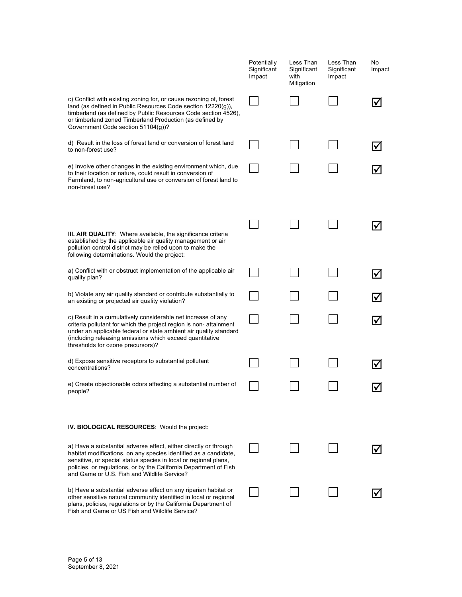|                                                                                                                                                                                                                                                                                                                              | Potentially<br>Significant<br>Impact | Less Than<br>Significant<br>with<br>Mitigation | Less Than<br>Significant<br>Impact | No<br>Impact |
|------------------------------------------------------------------------------------------------------------------------------------------------------------------------------------------------------------------------------------------------------------------------------------------------------------------------------|--------------------------------------|------------------------------------------------|------------------------------------|--------------|
| c) Conflict with existing zoning for, or cause rezoning of, forest<br>land (as defined in Public Resources Code section 12220(g)),<br>timberland (as defined by Public Resources Code section 4526),<br>or timberland zoned Timberland Production (as defined by<br>Government Code section 51104(g))?                       |                                      |                                                |                                    |              |
| d) Result in the loss of forest land or conversion of forest land<br>to non-forest use?                                                                                                                                                                                                                                      |                                      |                                                |                                    |              |
| e) Involve other changes in the existing environment which, due<br>to their location or nature, could result in conversion of<br>Farmland, to non-agricultural use or conversion of forest land to<br>non-forest use?                                                                                                        |                                      |                                                |                                    |              |
| III. AIR QUALITY: Where available, the significance criteria<br>established by the applicable air quality management or air<br>pollution control district may be relied upon to make the<br>following determinations. Would the project:                                                                                     |                                      |                                                |                                    |              |
| a) Conflict with or obstruct implementation of the applicable air<br>quality plan?                                                                                                                                                                                                                                           |                                      |                                                |                                    |              |
| b) Violate any air quality standard or contribute substantially to<br>an existing or projected air quality violation?                                                                                                                                                                                                        |                                      |                                                |                                    |              |
| c) Result in a cumulatively considerable net increase of any<br>criteria pollutant for which the project region is non-attainment<br>under an applicable federal or state ambient air quality standard<br>(including releasing emissions which exceed quantitative<br>thresholds for ozone precursors)?                      |                                      |                                                |                                    |              |
| d) Expose sensitive receptors to substantial pollutant<br>concentrations?                                                                                                                                                                                                                                                    |                                      |                                                |                                    |              |
| e) Create objectionable odors affecting a substantial number of<br>people?                                                                                                                                                                                                                                                   |                                      |                                                |                                    |              |
| <b>IV. BIOLOGICAL RESOURCES:</b> Would the project:                                                                                                                                                                                                                                                                          |                                      |                                                |                                    |              |
| a) Have a substantial adverse effect, either directly or through<br>habitat modifications, on any species identified as a candidate,<br>sensitive, or special status species in local or regional plans,<br>policies, or regulations, or by the California Department of Fish<br>and Game or U.S. Fish and Wildlife Service? |                                      |                                                |                                    |              |
| b) Have a substantial adverse effect on any riparian habitat or<br>other sensitive natural community identified in local or regional<br>plans, policies, regulations or by the California Department of<br>Fish and Game or US Fish and Wildlife Service?                                                                    |                                      |                                                |                                    |              |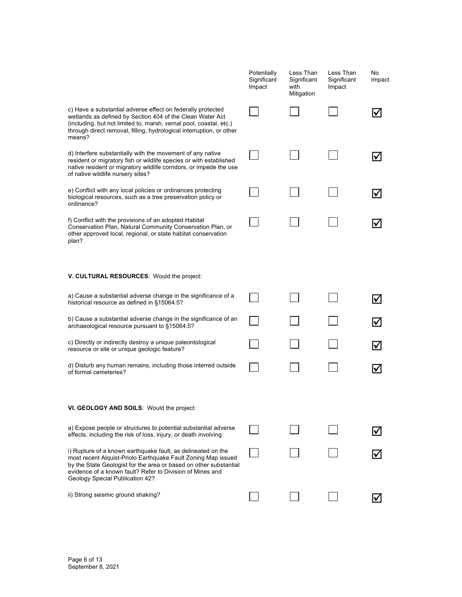|                                                                                                                                                                                                                                                                                                    | Potentially<br>Significant<br>Impact | Less Than<br>Significant<br>with<br>Mitigation | Less Than<br>Significant<br>Impact | No<br>Impact |
|----------------------------------------------------------------------------------------------------------------------------------------------------------------------------------------------------------------------------------------------------------------------------------------------------|--------------------------------------|------------------------------------------------|------------------------------------|--------------|
| c) Have a substantial adverse effect on federally protected<br>wetlands as defined by Section 404 of the Clean Water Act<br>(including, but not limited to, marsh, vernal pool, coastal, etc.)<br>through direct removal, filling, hydrological interruption, or other<br>means?                   |                                      |                                                |                                    |              |
| d) Interfere substantially with the movement of any native<br>resident or migratory fish or wildlife species or with established<br>native resident or migratory wildlife corridors, or impede the use<br>of native wildlife nursery sites?                                                        |                                      |                                                |                                    |              |
| e) Conflict with any local policies or ordinances protecting<br>biological resources, such as a tree preservation policy or<br>ordinance?                                                                                                                                                          |                                      |                                                |                                    |              |
| f) Conflict with the provisions of an adopted Habitat<br>Conservation Plan, Natural Community Conservation Plan, or<br>other approved local, regional, or state habitat conservation<br>plan?                                                                                                      |                                      |                                                |                                    |              |
| V. CULTURAL RESOURCES: Would the project:                                                                                                                                                                                                                                                          |                                      |                                                |                                    |              |
| a) Cause a substantial adverse change in the significance of a<br>historical resource as defined in §15064.5?                                                                                                                                                                                      |                                      |                                                |                                    |              |
| b) Cause a substantial adverse change in the significance of an<br>archaeological resource pursuant to §15064.5?                                                                                                                                                                                   |                                      |                                                |                                    |              |
| c) Directly or indirectly destroy a unique paleontological<br>resource or site or unique geologic feature?                                                                                                                                                                                         |                                      |                                                |                                    |              |
| d) Disturb any human remains, including those interred outside<br>of formal cemeteries?                                                                                                                                                                                                            |                                      |                                                |                                    |              |
| VI. GEOLOGY AND SOILS: Would the project:                                                                                                                                                                                                                                                          |                                      |                                                |                                    |              |
| a) Expose people or structures to potential substantial adverse<br>effects, including the risk of loss, injury, or death involving:                                                                                                                                                                |                                      |                                                |                                    |              |
| i) Rupture of a known earthquake fault, as delineated on the<br>most recent Alquist-Priolo Earthquake Fault Zoning Map issued<br>by the State Geologist for the area or based on other substantial<br>evidence of a known fault? Refer to Division of Mines and<br>Geology Special Publication 42? |                                      |                                                |                                    |              |
| ii) Strong seismic ground shaking?                                                                                                                                                                                                                                                                 |                                      |                                                |                                    |              |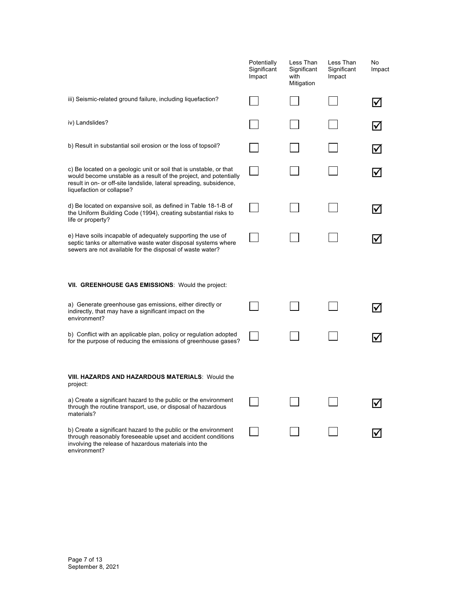|                                                                                                                                                                                                                                             | Potentially<br>Significant<br>Impact | Less Than<br>Significant<br>with<br>Mitigation | Less Than<br>Significant<br>Impact | No<br>Impact |
|---------------------------------------------------------------------------------------------------------------------------------------------------------------------------------------------------------------------------------------------|--------------------------------------|------------------------------------------------|------------------------------------|--------------|
| iii) Seismic-related ground failure, including liquefaction?                                                                                                                                                                                |                                      |                                                |                                    |              |
| iv) Landslides?                                                                                                                                                                                                                             |                                      |                                                |                                    |              |
| b) Result in substantial soil erosion or the loss of topsoil?                                                                                                                                                                               |                                      |                                                |                                    |              |
| c) Be located on a geologic unit or soil that is unstable, or that<br>would become unstable as a result of the project, and potentially<br>result in on- or off-site landslide, lateral spreading, subsidence,<br>liquefaction or collapse? |                                      |                                                |                                    |              |
| d) Be located on expansive soil, as defined in Table 18-1-B of<br>the Uniform Building Code (1994), creating substantial risks to<br>life or property?                                                                                      |                                      |                                                |                                    |              |
| e) Have soils incapable of adequately supporting the use of<br>septic tanks or alternative waste water disposal systems where<br>sewers are not available for the disposal of waste water?                                                  |                                      |                                                |                                    |              |
| <b>VII. GREENHOUSE GAS EMISSIONS:</b> Would the project:                                                                                                                                                                                    |                                      |                                                |                                    |              |
| a) Generate greenhouse gas emissions, either directly or<br>indirectly, that may have a significant impact on the<br>environment?                                                                                                           |                                      |                                                |                                    |              |
| b) Conflict with an applicable plan, policy or regulation adopted<br>for the purpose of reducing the emissions of greenhouse gases?                                                                                                         |                                      |                                                |                                    |              |
| <b>VIII. HAZARDS AND HAZARDOUS MATERIALS: Would the</b><br>project:                                                                                                                                                                         |                                      |                                                |                                    |              |
| a) Create a significant hazard to the public or the environment<br>through the routine transport, use, or disposal of hazardous<br>materials?                                                                                               |                                      |                                                |                                    |              |
| b) Create a significant hazard to the public or the environment<br>through reasonably foreseeable upset and accident conditions<br>involving the release of hazardous materials into the<br>environment?                                    |                                      |                                                |                                    |              |

Page 7 of 13 September 8, 2021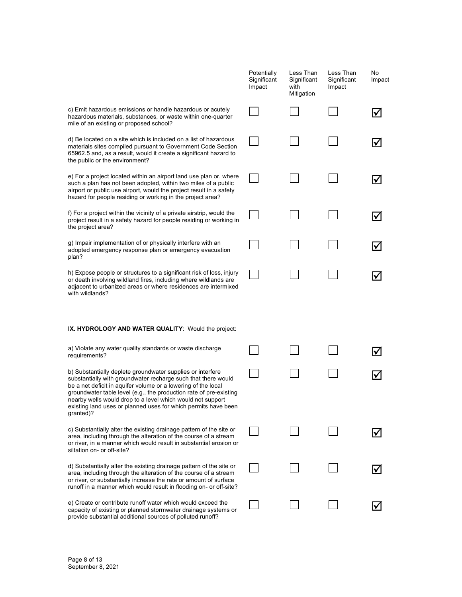|                                                                                                                                                                                                                                                                                                                                                                                                                 | Potentially<br>Significant<br>Impact | Less Than<br>Significant<br>with<br>Mitigation | Less Than<br>Significant<br>Impact | No<br>Impact |
|-----------------------------------------------------------------------------------------------------------------------------------------------------------------------------------------------------------------------------------------------------------------------------------------------------------------------------------------------------------------------------------------------------------------|--------------------------------------|------------------------------------------------|------------------------------------|--------------|
| c) Emit hazardous emissions or handle hazardous or acutely<br>hazardous materials, substances, or waste within one-quarter<br>mile of an existing or proposed school?                                                                                                                                                                                                                                           |                                      |                                                |                                    | V            |
| d) Be located on a site which is included on a list of hazardous<br>materials sites compiled pursuant to Government Code Section<br>65962.5 and, as a result, would it create a significant hazard to<br>the public or the environment?                                                                                                                                                                         |                                      |                                                |                                    |              |
| e) For a project located within an airport land use plan or, where<br>such a plan has not been adopted, within two miles of a public<br>airport or public use airport, would the project result in a safety<br>hazard for people residing or working in the project area?                                                                                                                                       |                                      |                                                |                                    | V            |
| f) For a project within the vicinity of a private airstrip, would the<br>project result in a safety hazard for people residing or working in<br>the project area?                                                                                                                                                                                                                                               |                                      |                                                |                                    |              |
| g) Impair implementation of or physically interfere with an<br>adopted emergency response plan or emergency evacuation<br>plan?                                                                                                                                                                                                                                                                                 |                                      |                                                |                                    | lV           |
| h) Expose people or structures to a significant risk of loss, injury<br>or death involving wildland fires, including where wildlands are<br>adjacent to urbanized areas or where residences are intermixed<br>with wildlands?                                                                                                                                                                                   |                                      |                                                |                                    | IV.          |
| IX. HYDROLOGY AND WATER QUALITY: Would the project:                                                                                                                                                                                                                                                                                                                                                             |                                      |                                                |                                    |              |
| a) Violate any water quality standards or waste discharge<br>requirements?                                                                                                                                                                                                                                                                                                                                      |                                      |                                                |                                    |              |
| b) Substantially deplete groundwater supplies or interfere<br>substantially with groundwater recharge such that there would<br>be a net deficit in aquifer volume or a lowering of the local<br>groundwater table level (e.g., the production rate of pre-existing<br>nearby wells would drop to a level which would not support<br>existing land uses or planned uses for which permits have been<br>granted)? |                                      |                                                |                                    |              |
| c) Substantially alter the existing drainage pattern of the site or<br>area, including through the alteration of the course of a stream<br>or river, in a manner which would result in substantial erosion or<br>siltation on- or off-site?                                                                                                                                                                     |                                      |                                                |                                    |              |
| d) Substantially alter the existing drainage pattern of the site or<br>area, including through the alteration of the course of a stream<br>or river, or substantially increase the rate or amount of surface<br>runoff in a manner which would result in flooding on- or off-site?                                                                                                                              |                                      |                                                |                                    |              |
| e) Create or contribute runoff water which would exceed the<br>capacity of existing or planned stormwater drainage systems or<br>provide substantial additional sources of polluted runoff?                                                                                                                                                                                                                     |                                      |                                                |                                    |              |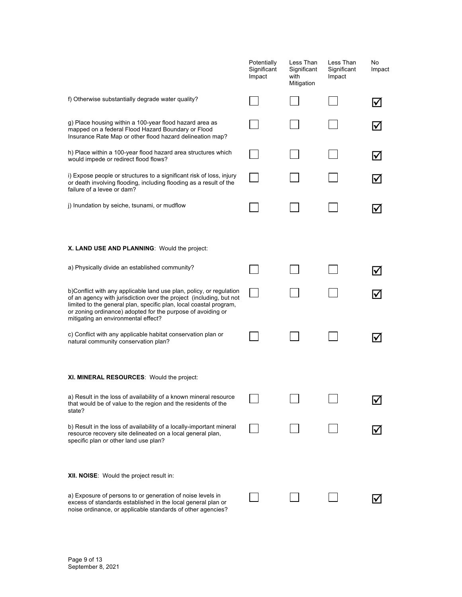|                                                                                                                                                                                                                                                                                                                        | Potentially<br>Significant<br>Impact | Less Than<br>Significant<br>with<br>Mitigation | Less Than<br>Significant<br>Impact | No<br>Impact |
|------------------------------------------------------------------------------------------------------------------------------------------------------------------------------------------------------------------------------------------------------------------------------------------------------------------------|--------------------------------------|------------------------------------------------|------------------------------------|--------------|
| f) Otherwise substantially degrade water quality?                                                                                                                                                                                                                                                                      |                                      |                                                |                                    |              |
| g) Place housing within a 100-year flood hazard area as<br>mapped on a federal Flood Hazard Boundary or Flood<br>Insurance Rate Map or other flood hazard delineation map?                                                                                                                                             |                                      |                                                |                                    |              |
| h) Place within a 100-year flood hazard area structures which<br>would impede or redirect flood flows?                                                                                                                                                                                                                 |                                      |                                                |                                    |              |
| i) Expose people or structures to a significant risk of loss, injury<br>or death involving flooding, including flooding as a result of the<br>failure of a levee or dam?                                                                                                                                               |                                      |                                                |                                    |              |
| j) Inundation by seiche, tsunami, or mudflow                                                                                                                                                                                                                                                                           |                                      |                                                |                                    |              |
| X. LAND USE AND PLANNING: Would the project:                                                                                                                                                                                                                                                                           |                                      |                                                |                                    |              |
| a) Physically divide an established community?                                                                                                                                                                                                                                                                         |                                      |                                                |                                    |              |
| b)Conflict with any applicable land use plan, policy, or regulation<br>of an agency with jurisdiction over the project (including, but not<br>limited to the general plan, specific plan, local coastal program,<br>or zoning ordinance) adopted for the purpose of avoiding or<br>mitigating an environmental effect? |                                      |                                                |                                    |              |
| c) Conflict with any applicable habitat conservation plan or<br>natural community conservation plan?                                                                                                                                                                                                                   |                                      |                                                |                                    |              |
| XI. MINERAL RESOURCES: Would the project:                                                                                                                                                                                                                                                                              |                                      |                                                |                                    |              |
| a) Result in the loss of availability of a known mineral resource<br>that would be of value to the region and the residents of the<br>state?                                                                                                                                                                           |                                      |                                                |                                    | <u> ∨</u>    |
| b) Result in the loss of availability of a locally-important mineral<br>resource recovery site delineated on a local general plan,<br>specific plan or other land use plan?                                                                                                                                            |                                      |                                                |                                    |              |
| XII. NOISE: Would the project result in:                                                                                                                                                                                                                                                                               |                                      |                                                |                                    |              |
| a) Exposure of persons to or generation of noise levels in<br>excess of standards established in the local general plan or<br>noise ordinance, or applicable standards of other agencies?                                                                                                                              |                                      |                                                |                                    |              |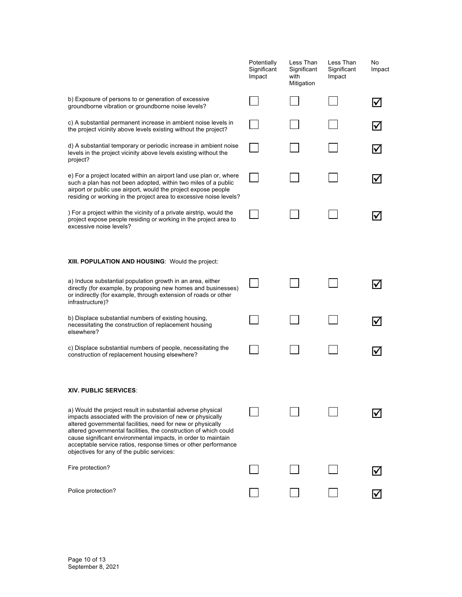|                                                                                                                                                                                                                                                                                                                                                                                                                                               | Potentially<br>Significant<br>Impact | Less Than<br>Significant<br>with<br>Mitigation | Less Than<br>Significant<br>Impact | No<br>Impact |
|-----------------------------------------------------------------------------------------------------------------------------------------------------------------------------------------------------------------------------------------------------------------------------------------------------------------------------------------------------------------------------------------------------------------------------------------------|--------------------------------------|------------------------------------------------|------------------------------------|--------------|
| b) Exposure of persons to or generation of excessive<br>groundborne vibration or groundborne noise levels?                                                                                                                                                                                                                                                                                                                                    |                                      |                                                |                                    |              |
| c) A substantial permanent increase in ambient noise levels in<br>the project vicinity above levels existing without the project?                                                                                                                                                                                                                                                                                                             |                                      |                                                |                                    |              |
| d) A substantial temporary or periodic increase in ambient noise<br>levels in the project vicinity above levels existing without the<br>project?                                                                                                                                                                                                                                                                                              |                                      |                                                |                                    |              |
| e) For a project located within an airport land use plan or, where<br>such a plan has not been adopted, within two miles of a public<br>airport or public use airport, would the project expose people<br>residing or working in the project area to excessive noise levels?                                                                                                                                                                  |                                      |                                                |                                    |              |
| ) For a project within the vicinity of a private airstrip, would the<br>project expose people residing or working in the project area to<br>excessive noise levels?                                                                                                                                                                                                                                                                           |                                      |                                                |                                    |              |
| XIII. POPULATION AND HOUSING: Would the project:                                                                                                                                                                                                                                                                                                                                                                                              |                                      |                                                |                                    |              |
| a) Induce substantial population growth in an area, either<br>directly (for example, by proposing new homes and businesses)<br>or indirectly (for example, through extension of roads or other<br>infrastructure)?                                                                                                                                                                                                                            |                                      |                                                |                                    |              |
| b) Displace substantial numbers of existing housing,<br>necessitating the construction of replacement housing<br>elsewhere?                                                                                                                                                                                                                                                                                                                   |                                      |                                                |                                    |              |
| c) Displace substantial numbers of people, necessitating the<br>construction of replacement housing elsewhere?                                                                                                                                                                                                                                                                                                                                |                                      |                                                |                                    |              |
| <b>XIV. PUBLIC SERVICES:</b>                                                                                                                                                                                                                                                                                                                                                                                                                  |                                      |                                                |                                    |              |
| a) Would the project result in substantial adverse physical<br>impacts associated with the provision of new or physically<br>altered governmental facilities, need for new or physically<br>altered governmental facilities, the construction of which could<br>cause significant environmental impacts, in order to maintain<br>acceptable service ratios, response times or other performance<br>objectives for any of the public services: |                                      |                                                |                                    |              |
| Fire protection?                                                                                                                                                                                                                                                                                                                                                                                                                              |                                      |                                                |                                    |              |
| Police protection?                                                                                                                                                                                                                                                                                                                                                                                                                            |                                      |                                                |                                    |              |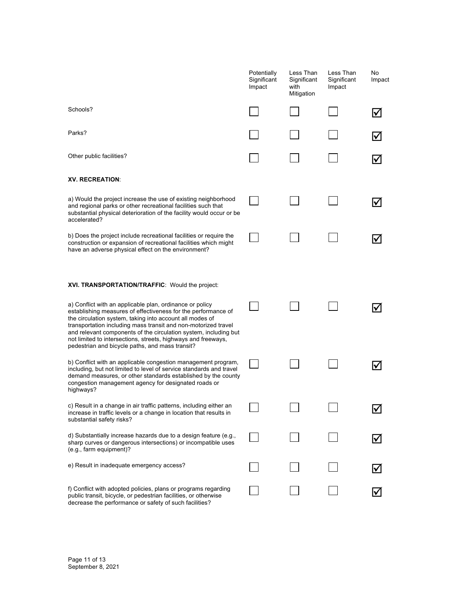|                                                                                                                                                                                                                                                                                                                                                                                                                                                 | Potentially<br>Significant<br>Impact | Less Than<br>Significant<br>with<br>Mitigation | Less Than<br>Significant<br>Impact | No<br>Impact |
|-------------------------------------------------------------------------------------------------------------------------------------------------------------------------------------------------------------------------------------------------------------------------------------------------------------------------------------------------------------------------------------------------------------------------------------------------|--------------------------------------|------------------------------------------------|------------------------------------|--------------|
| Schools?                                                                                                                                                                                                                                                                                                                                                                                                                                        |                                      |                                                |                                    |              |
| Parks?                                                                                                                                                                                                                                                                                                                                                                                                                                          |                                      |                                                |                                    |              |
| Other public facilities?                                                                                                                                                                                                                                                                                                                                                                                                                        |                                      |                                                |                                    |              |
| <b>XV. RECREATION:</b>                                                                                                                                                                                                                                                                                                                                                                                                                          |                                      |                                                |                                    |              |
| a) Would the project increase the use of existing neighborhood<br>and regional parks or other recreational facilities such that<br>substantial physical deterioration of the facility would occur or be<br>accelerated?                                                                                                                                                                                                                         |                                      |                                                |                                    |              |
| b) Does the project include recreational facilities or require the<br>construction or expansion of recreational facilities which might<br>have an adverse physical effect on the environment?                                                                                                                                                                                                                                                   |                                      |                                                |                                    |              |
| XVI. TRANSPORTATION/TRAFFIC: Would the project:                                                                                                                                                                                                                                                                                                                                                                                                 |                                      |                                                |                                    |              |
| a) Conflict with an applicable plan, ordinance or policy<br>establishing measures of effectiveness for the performance of<br>the circulation system, taking into account all modes of<br>transportation including mass transit and non-motorized travel<br>and relevant components of the circulation system, including but<br>not limited to intersections, streets, highways and freeways,<br>pedestrian and bicycle paths, and mass transit? |                                      |                                                |                                    |              |
| b) Conflict with an applicable congestion management program,<br>including, but not limited to level of service standards and travel<br>demand measures, or other standards established by the county<br>congestion management agency for designated roads or<br>highways?                                                                                                                                                                      |                                      |                                                |                                    |              |
| c) Result in a change in air traffic patterns, including either an<br>increase in traffic levels or a change in location that results in<br>substantial safety risks?                                                                                                                                                                                                                                                                           |                                      |                                                |                                    | <u> ∨ </u>   |
| d) Substantially increase hazards due to a design feature (e.g.,<br>sharp curves or dangerous intersections) or incompatible uses<br>(e.g., farm equipment)?                                                                                                                                                                                                                                                                                    |                                      |                                                |                                    |              |
| e) Result in inadequate emergency access?                                                                                                                                                                                                                                                                                                                                                                                                       |                                      |                                                |                                    |              |
| f) Conflict with adopted policies, plans or programs regarding<br>public transit, bicycle, or pedestrian facilities, or otherwise<br>decrease the performance or safety of such facilities?                                                                                                                                                                                                                                                     |                                      |                                                |                                    |              |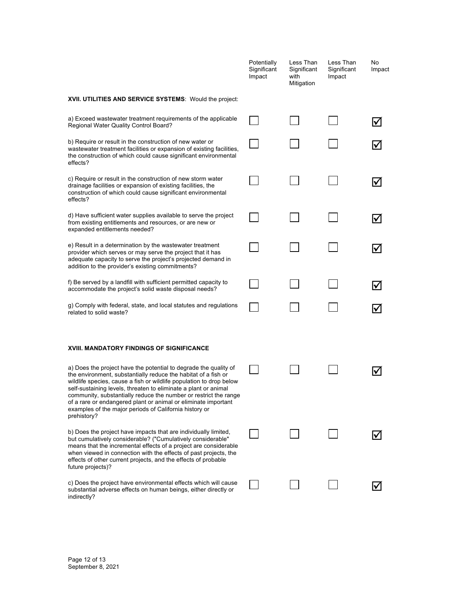|                                                                                                                                                                                                                                                                                                                                                                                                                                                                                             | Potentially<br>Significant<br>Impact | Less Than<br>Significant<br>with<br>Mitigation | Less Than<br>Significant<br>Impact | No<br>Impact |
|---------------------------------------------------------------------------------------------------------------------------------------------------------------------------------------------------------------------------------------------------------------------------------------------------------------------------------------------------------------------------------------------------------------------------------------------------------------------------------------------|--------------------------------------|------------------------------------------------|------------------------------------|--------------|
| XVII. UTILITIES AND SERVICE SYSTEMS: Would the project:                                                                                                                                                                                                                                                                                                                                                                                                                                     |                                      |                                                |                                    |              |
| a) Exceed wastewater treatment requirements of the applicable<br>Regional Water Quality Control Board?                                                                                                                                                                                                                                                                                                                                                                                      |                                      |                                                |                                    |              |
| b) Require or result in the construction of new water or<br>wastewater treatment facilities or expansion of existing facilities,<br>the construction of which could cause significant environmental<br>effects?                                                                                                                                                                                                                                                                             |                                      |                                                |                                    |              |
| c) Require or result in the construction of new storm water<br>drainage facilities or expansion of existing facilities, the<br>construction of which could cause significant environmental<br>effects?                                                                                                                                                                                                                                                                                      |                                      |                                                |                                    |              |
| d) Have sufficient water supplies available to serve the project<br>from existing entitlements and resources, or are new or<br>expanded entitlements needed?                                                                                                                                                                                                                                                                                                                                |                                      |                                                |                                    |              |
| e) Result in a determination by the wastewater treatment<br>provider which serves or may serve the project that it has<br>adequate capacity to serve the project's projected demand in<br>addition to the provider's existing commitments?                                                                                                                                                                                                                                                  |                                      |                                                |                                    |              |
| f) Be served by a landfill with sufficient permitted capacity to<br>accommodate the project's solid waste disposal needs?                                                                                                                                                                                                                                                                                                                                                                   |                                      |                                                |                                    |              |
| g) Comply with federal, state, and local statutes and regulations<br>related to solid waste?                                                                                                                                                                                                                                                                                                                                                                                                |                                      |                                                |                                    |              |
| XVIII. MANDATORY FINDINGS OF SIGNIFICANCE                                                                                                                                                                                                                                                                                                                                                                                                                                                   |                                      |                                                |                                    |              |
| a) Does the project have the potential to degrade the quality of<br>the environment, substantially reduce the habitat of a fish or<br>wildlife species, cause a fish or wildlife population to drop below<br>self-sustaining levels, threaten to eliminate a plant or animal<br>community, substantially reduce the number or restrict the range<br>of a rare or endangered plant or animal or eliminate important<br>examples of the major periods of California history or<br>prehistory? |                                      |                                                |                                    |              |
| b) Does the project have impacts that are individually limited,<br>but cumulatively considerable? ("Cumulatively considerable"<br>means that the incremental effects of a project are considerable<br>when viewed in connection with the effects of past projects, the<br>effects of other current projects, and the effects of probable<br>future projects)?                                                                                                                               |                                      |                                                |                                    |              |
| c) Does the project have environmental effects which will cause<br>substantial adverse effects on human beings, either directly or<br>indirectly?                                                                                                                                                                                                                                                                                                                                           |                                      |                                                |                                    |              |